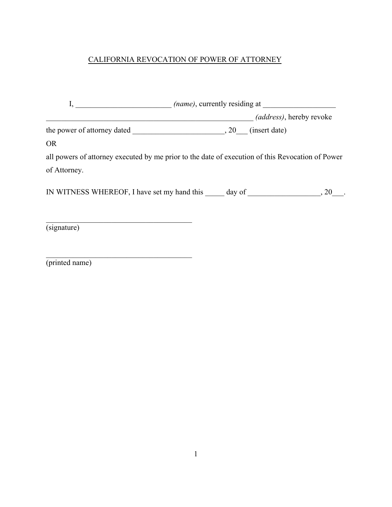## CALIFORNIA REVOCATION OF POWER OF ATTORNEY

|                                                                                                  | <i>(name)</i> , currently residing at |                                  |      |  |
|--------------------------------------------------------------------------------------------------|---------------------------------------|----------------------------------|------|--|
|                                                                                                  |                                       | <i>(address)</i> , hereby revoke |      |  |
| the power of attorney dated , 20 (insert date)                                                   |                                       |                                  |      |  |
| <b>OR</b>                                                                                        |                                       |                                  |      |  |
| all powers of attorney executed by me prior to the date of execution of this Revocation of Power |                                       |                                  |      |  |
| of Attorney.                                                                                     |                                       |                                  |      |  |
| IN WITNESS WHEREOF, I have set my hand this day of                                               |                                       |                                  | , 20 |  |
|                                                                                                  |                                       |                                  |      |  |
|                                                                                                  |                                       |                                  |      |  |

(signature)

(printed name)

\_\_\_\_\_\_\_\_\_\_\_\_\_\_\_\_\_\_\_\_\_\_\_\_\_\_\_\_\_\_\_\_\_\_\_\_\_\_

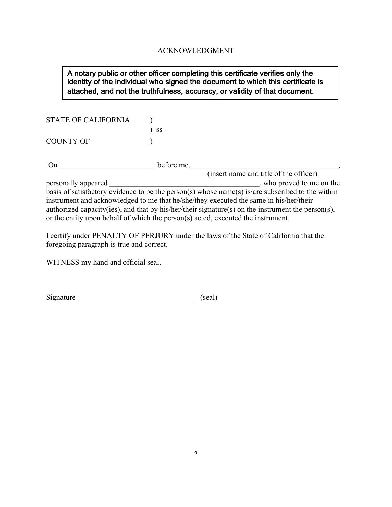## ACKNOWLEDGMENT

## A notary public or other officer completing this certificate verifies only the identity of the individual who signed the document to which this certificate is attached, and not the truthfulness, accuracy, or validity of that document.

STATE OF CALIFORNIA )

COUNTY OF\_\_\_\_\_\_\_\_\_\_\_\_\_\_\_ )

) ss

On \_\_\_\_\_\_\_\_\_\_\_\_\_\_\_\_\_\_\_\_\_\_\_\_\_ before me, \_\_\_\_\_\_\_\_\_\_\_\_\_\_\_\_\_\_\_\_\_\_\_\_\_\_\_\_\_\_\_\_\_\_\_\_\_\_,

(insert name and title of the officer) personally appeared **\_\_\_\_\_\_\_\_\_\_\_\_\_\_\_\_\_\_\_\_\_\_\_\_\_\_\_\_\_\_\_\_\_\_\_\_\_\_\_**, who proved to me on the basis of satisfactory evidence to be the person(s) whose name(s) is/are subscribed to the within instrument and acknowledged to me that he/she/they executed the same in his/her/their authorized capacity(ies), and that by his/her/their signature(s) on the instrument the person(s), or the entity upon behalf of which the person(s) acted, executed the instrument.

I certify under PENALTY OF PERJURY under the laws of the State of California that the foregoing paragraph is true and correct.

WITNESS my hand and official seal.

| Signature | (scal) |
|-----------|--------|
|-----------|--------|